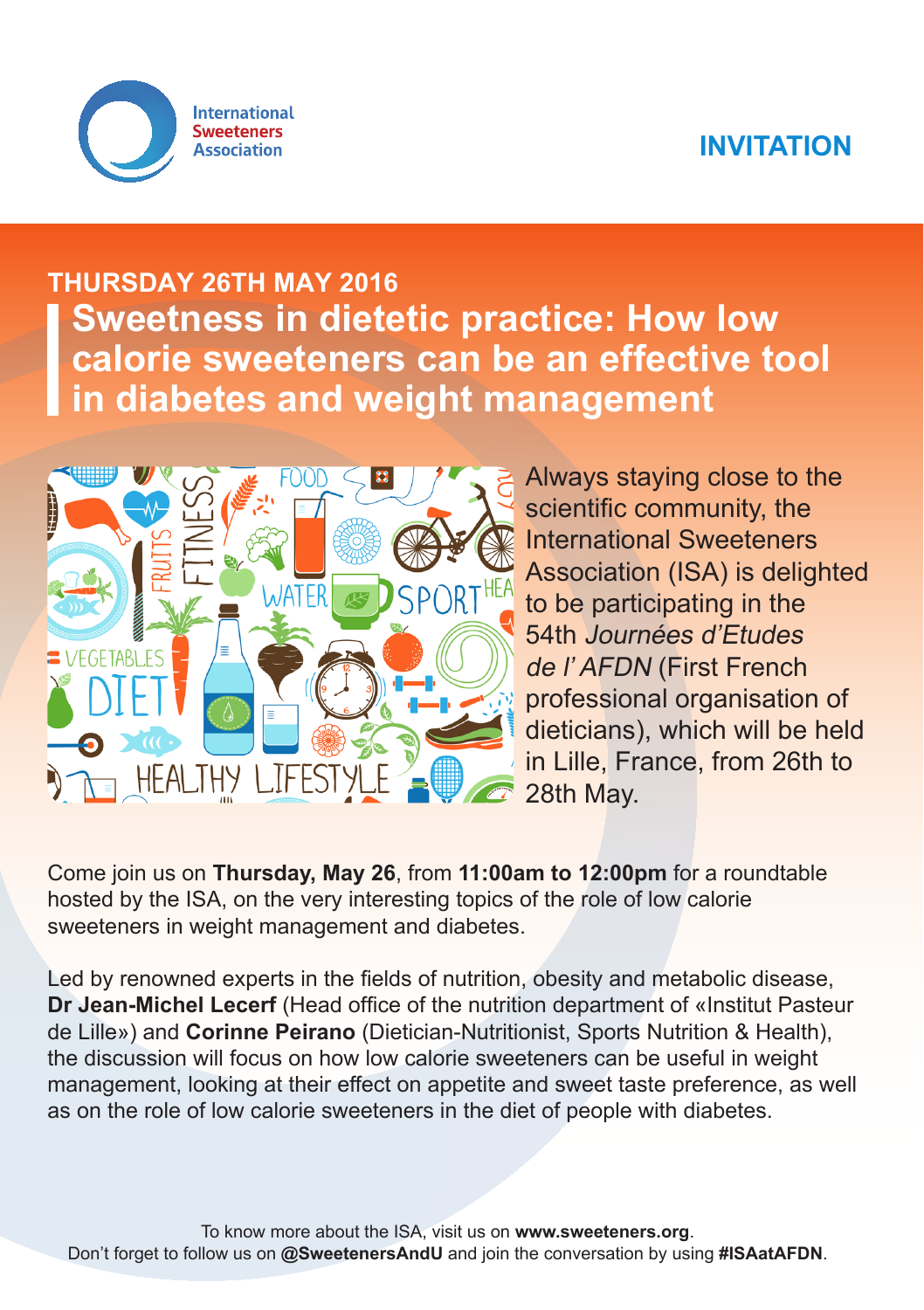# **INVITATION**



# **THURSDAY 26TH MAY 2016 Sweetness in dietetic practice: How low calorie sweeteners can be an effective tool in diabetes and weight management**



Always staying close to the scientific community, the International Sweeteners Association (ISA) is delighted to be participating in the 54th Journées d'Etudes de l' AFDN (First French professional organisation of dieticians), which will be held in Lille, France, from 26th to 28th May.

Come join us on **Thursday, May 26**, from **11:00am to 12:00pm** for a roundtable hosted by the ISA, on the very interesting topics of the role of low calorie sweeteners in weight management and diabetes.

Led by renowned experts in the fields of nutrition, obesity and metabolic disease, **Dr Jean-Michel Lecerf** (Head office of the nutrition department of «Institut Pasteur de Lille») and **Corinne Peirano** (Dietician-Nutritionist, Sports Nutrition & Health), the discussion will focus on how low calorie sweeteners can be useful in weight management, looking at their effect on appetite and sweet taste preference, as well as on the role of low calorie sweeteners in the diet of people with diabetes.